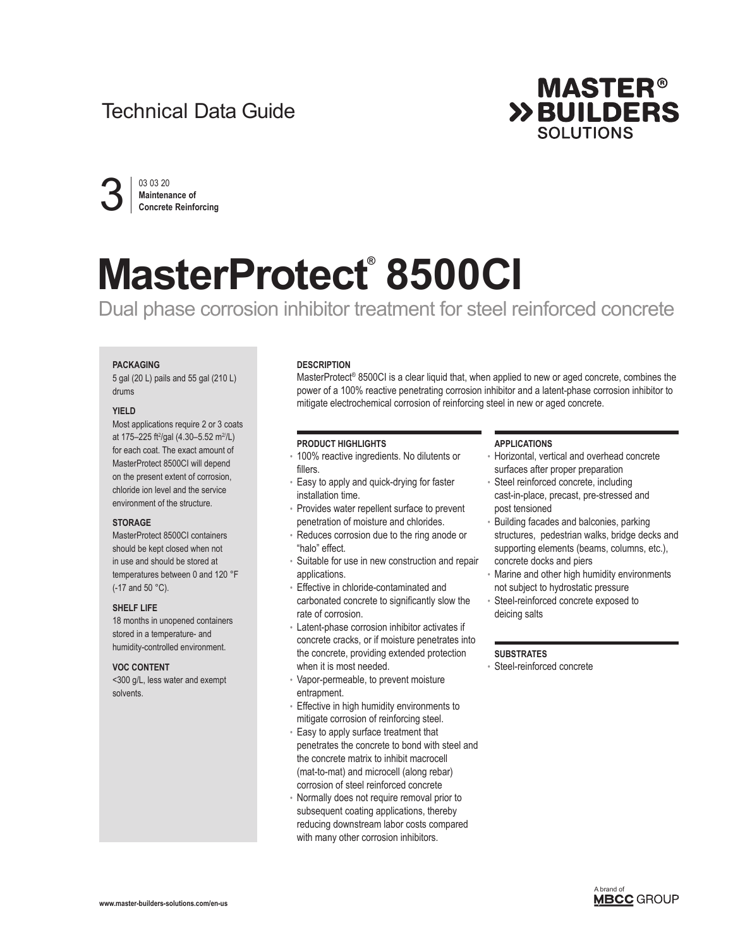## Technical Data Guide



03 03 20 **Maintenance of<br>Concrete Reinforcing** 

# **MasterProtect® 8500CI**

Dual phase corrosion inhibitor treatment for steel reinforced concrete

## **PACKAGING**

5 gal (20 L) pails and 55 gal (210 L) drums

## **YIELD**

Most applications require 2 or 3 coats at 175-225 ft<sup>2</sup>/gal (4.30-5.52 m<sup>2/</sup>/L) for each coat. The exact amount of MasterProtect 8500CI will depend on the present extent of corrosion, chloride ion level and the service environment of the structure.

## **STORAGE**

MasterProtect 8500CI containers should be kept closed when not in use and should be stored at temperatures between 0 and 120 °F (-17 and 50 °C).

## **SHELF LIFE**

18 months in unopened containers stored in a temperature- and humidity-controlled environment.

## **VOC CONTENT**

<300 g/L, less water and exempt solvents.

## **DESCRIPTION**

MasterProtect<sup>®</sup> 8500CI is a clear liquid that, when applied to new or aged concrete, combines the power of a 100% reactive penetrating corrosion inhibitor and a latent-phase corrosion inhibitor to mitigate electrochemical corrosion of reinforcing steel in new or aged concrete.

## **PRODUCT HIGHLIGHTS**

- 100% reactive ingredients. No dilutents or fillers.
- Easy to apply and quick-drying for faster installation time.
- Provides water repellent surface to prevent penetration of moisture and chlorides.
- Reduces corrosion due to the ring anode or "halo" effect.
- Suitable for use in new construction and repair applications.
- Effective in chloride-contaminated and carbonated concrete to significantly slow the rate of corrosion.
- Latent-phase corrosion inhibitor activates if concrete cracks, or if moisture penetrates into the concrete, providing extended protection when it is most needed.
- Vapor-permeable, to prevent moisture entrapment.
- Effective in high humidity environments to mitigate corrosion of reinforcing steel.
- Easy to apply surface treatment that penetrates the concrete to bond with steel and the concrete matrix to inhibit macrocell (mat-to-mat) and microcell (along rebar) corrosion of steel reinforced concrete
- Normally does not require removal prior to subsequent coating applications, thereby reducing downstream labor costs compared with many other corrosion inhibitors.

## **APPLICATIONS**

- Horizontal, vertical and overhead concrete surfaces after proper preparation
- Steel reinforced concrete, including cast-in-place, precast, pre-stressed and post tensioned
- Building facades and balconies, parking structures, pedestrian walks, bridge decks and supporting elements (beams, columns, etc.), concrete docks and piers
- Marine and other high humidity environments not subject to hydrostatic pressure
- Steel-reinforced concrete exposed to deicing salts

## **SUBSTRATES**

• Steel-reinforced concrete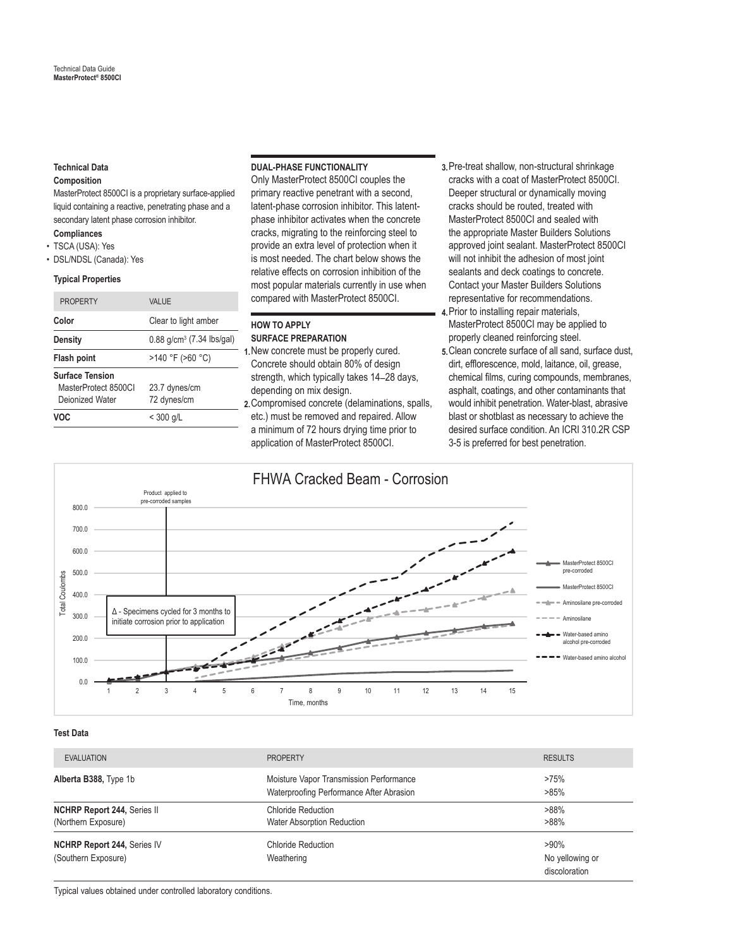## **Technical Data**

## **Composition**

MasterProtect 8500CI is a proprietary surface-applied liquid containing a reactive, penetrating phase and a secondary latent phase corrosion inhibitor.

- **Compliances**
- TSCA (USA): Yes
- DSL/NDSL (Canada): Yes

## **Typical Properties**

| <b>PROPERTY</b>                                                   | VAI UF                                |  |
|-------------------------------------------------------------------|---------------------------------------|--|
| Color                                                             | Clear to light amber                  |  |
| Density                                                           | 0.88 g/cm <sup>3</sup> (7.34 lbs/gal) |  |
| Flash point                                                       | $>140$ °F ( $>60$ °C)                 |  |
| <b>Surface Tension</b><br>MasterProtect 8500Cl<br>Dejonized Water | 23.7 dynes/cm<br>72 dynes/cm          |  |
| VOC.                                                              | $<$ 300 g/L                           |  |

## **DUAL-PHASE FUNCTIONALITY**

Only MasterProtect 8500CI couples the primary reactive penetrant with a second, latent-phase corrosion inhibitor. This latentphase inhibitor activates when the concrete cracks, migrating to the reinforcing steel to provide an extra level of protection when it is most needed. The chart below shows the relative effects on corrosion inhibition of the most popular materials currently in use when compared with MasterProtect 8500CI.

## **HOW TO APPLY SURFACE PREPARATION**

- **1.**New concrete must be properly cured. Concrete should obtain 80% of design strength, which typically takes 14–28 days, depending on mix design.
- **2.**Compromised concrete (delaminations, spalls, etc.) must be removed and repaired. Allow a minimum of 72 hours drying time prior to application of MasterProtect 8500CI.
- **3.**Pre-treat shallow, non-structural shrinkage cracks with a coat of MasterProtect 8500CI. Deeper structural or dynamically moving cracks should be routed, treated with MasterProtect 8500CI and sealed with the appropriate Master Builders Solutions approved joint sealant. MasterProtect 8500CI will not inhibit the adhesion of most joint sealants and deck coatings to concrete. Contact your Master Builders Solutions representative for recommendations.
- **4.**Prior to installing repair materials, MasterProtect 8500CI may be applied to properly cleaned reinforcing steel.
- **5.**Clean concrete surface of all sand, surface dust, dirt, efflorescence, mold, laitance, oil, grease, chemical films, curing compounds, membranes, asphalt, coatings, and other contaminants that would inhibit penetration. Water-blast, abrasive blast or shotblast as necessary to achieve the desired surface condition. An ICRI 310.2R CSP 3-5 is preferred for best penetration.



## **Test Data**

| <b>EVALUATION</b>                                         | <b>PROPERTY</b>                                                                     | <b>RESULTS</b>                              |
|-----------------------------------------------------------|-------------------------------------------------------------------------------------|---------------------------------------------|
| Alberta B388, Type 1b                                     | Moisture Vapor Transmission Performance<br>Waterproofing Performance After Abrasion | >75%<br>>85%                                |
| <b>NCHRP Report 244, Series II</b><br>(Northern Exposure) | Chloride Reduction<br><b>Water Absorption Reduction</b>                             | $>88\%$<br>$>88\%$                          |
| <b>NCHRP Report 244, Series IV</b><br>(Southern Exposure) | Chloride Reduction<br>Weathering                                                    | $>90\%$<br>No yellowing or<br>discoloration |

Typical values obtained under controlled laboratory conditions.